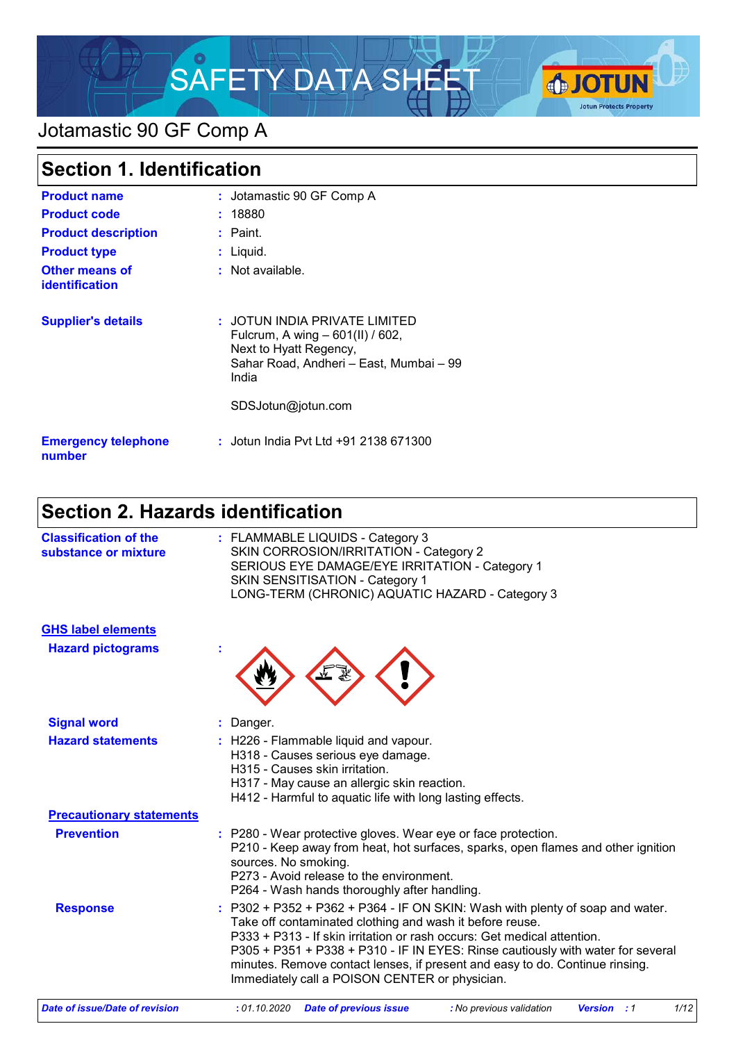

# Jotamastic 90 GF Comp A

| <b>Section 1. Identification</b>               |                                                                                                                                                                       |
|------------------------------------------------|-----------------------------------------------------------------------------------------------------------------------------------------------------------------------|
| <b>Product name</b>                            | : Jotamastic 90 GF Comp A                                                                                                                                             |
| <b>Product code</b>                            | : 18880                                                                                                                                                               |
| <b>Product description</b>                     | $\therefore$ Paint.                                                                                                                                                   |
| <b>Product type</b>                            | $:$ Liquid.                                                                                                                                                           |
| <b>Other means of</b><br><b>identification</b> | : Not available.                                                                                                                                                      |
| <b>Supplier's details</b>                      | : JOTUN INDIA PRIVATE LIMITED<br>Fulcrum, A wing - 601(II) / 602,<br>Next to Hyatt Regency,<br>Sahar Road, Andheri - East, Mumbai - 99<br>India<br>SDSJotun@jotun.com |
| <b>Emergency telephone</b><br>number           | : Jotun India Pvt Ltd +91 2138 671300                                                                                                                                 |

# **Section 2. Hazards identification**

| <b>Classification of the</b><br>substance or mixture | : FLAMMABLE LIQUIDS - Category 3<br>SKIN CORROSION/IRRITATION - Category 2<br>SERIOUS EYE DAMAGE/EYE IRRITATION - Category 1<br>SKIN SENSITISATION - Category 1<br>LONG-TERM (CHRONIC) AQUATIC HAZARD - Category 3                                                                                                                                                                                                                      |
|------------------------------------------------------|-----------------------------------------------------------------------------------------------------------------------------------------------------------------------------------------------------------------------------------------------------------------------------------------------------------------------------------------------------------------------------------------------------------------------------------------|
| <b>GHS label elements</b>                            |                                                                                                                                                                                                                                                                                                                                                                                                                                         |
| <b>Hazard pictograms</b>                             |                                                                                                                                                                                                                                                                                                                                                                                                                                         |
| <b>Signal word</b>                                   | Danger.                                                                                                                                                                                                                                                                                                                                                                                                                                 |
| <b>Hazard statements</b>                             | : H226 - Flammable liquid and vapour.<br>H318 - Causes serious eye damage.<br>H315 - Causes skin irritation.<br>H317 - May cause an allergic skin reaction.<br>H412 - Harmful to aquatic life with long lasting effects.                                                                                                                                                                                                                |
| <b>Precautionary statements</b>                      |                                                                                                                                                                                                                                                                                                                                                                                                                                         |
| <b>Prevention</b>                                    | : P280 - Wear protective gloves. Wear eye or face protection.<br>P210 - Keep away from heat, hot surfaces, sparks, open flames and other ignition<br>sources. No smoking.<br>P273 - Avoid release to the environment.<br>P264 - Wash hands thoroughly after handling.                                                                                                                                                                   |
| <b>Response</b>                                      | P302 + P352 + P362 + P364 - IF ON SKIN: Wash with plenty of soap and water.<br>Take off contaminated clothing and wash it before reuse.<br>P333 + P313 - If skin irritation or rash occurs: Get medical attention.<br>P305 + P351 + P338 + P310 - IF IN EYES: Rinse cautiously with water for several<br>minutes. Remove contact lenses, if present and easy to do. Continue rinsing.<br>Immediately call a POISON CENTER or physician. |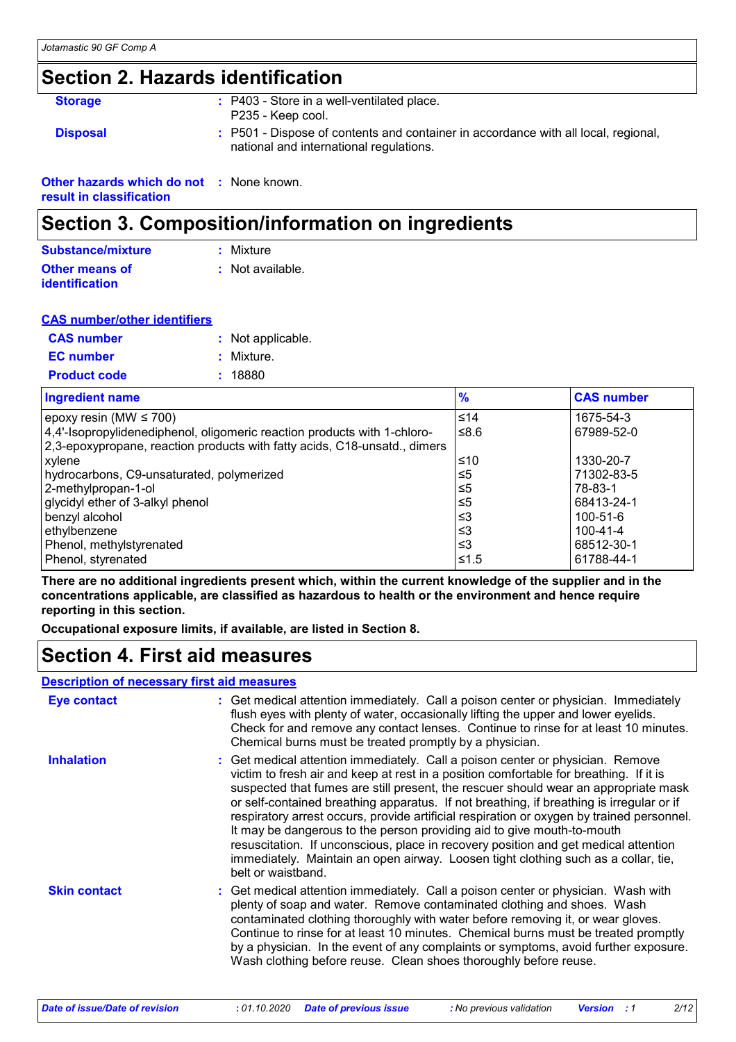### **Section 2. Hazards identification**

| <b>Storage</b>                                  | : P403 - Store in a well-ventilated place.<br>P235 - Keep cool.                                                               |
|-------------------------------------------------|-------------------------------------------------------------------------------------------------------------------------------|
| <b>Disposal</b>                                 | : P501 - Dispose of contents and container in accordance with all local, regional,<br>national and international regulations. |
| <b>Other hazards which do not : None known.</b> |                                                                                                                               |

**result in classification**

### **Section 3. Composition/information on ingredients**

| Substance/mixture                       | : Mixture        |
|-----------------------------------------|------------------|
| Other means of<br><b>identification</b> | : Not available. |

| <b>CAS number/other identifiers</b> |                   |
|-------------------------------------|-------------------|
| <b>CAS</b> number                   | : Not applicable. |
| <b>EC</b> number                    | : Mixture.        |
| <b>Product code</b>                 | : 18880           |

| <b>Ingredient name</b>                                                    | $\frac{9}{6}$ | <b>CAS number</b> |
|---------------------------------------------------------------------------|---------------|-------------------|
| epoxy resin (MW $\leq$ 700)                                               | $≤14$         | 1675-54-3         |
| 4,4'-Isopropylidenediphenol, oligomeric reaction products with 1-chloro-  | ≤8.6          | 67989-52-0        |
| 2,3-epoxypropane, reaction products with fatty acids, C18-unsatd., dimers |               |                   |
| xylene                                                                    | ≤10           | 1330-20-7         |
| hydrocarbons, C9-unsaturated, polymerized                                 | ≤5            | 71302-83-5        |
| 2-methylpropan-1-ol                                                       | ≤5            | 78-83-1           |
| glycidyl ether of 3-alkyl phenol                                          | $\leq 5$      | 68413-24-1        |
| benzyl alcohol                                                            | ≤3            | $100 - 51 - 6$    |
| ∣ethγlbenzene                                                             | ≤3            | 100-41-4          |
| Phenol, methylstyrenated                                                  | $\leq$ 3      | 68512-30-1        |
| Phenol, styrenated                                                        | $\leq 1.5$    | 61788-44-1        |

**There are no additional ingredients present which, within the current knowledge of the supplier and in the concentrations applicable, are classified as hazardous to health or the environment and hence require reporting in this section.**

**Occupational exposure limits, if available, are listed in Section 8.**

### **Section 4. First aid measures**

#### **Description of necessary first aid measures**

| <b>Eye contact</b>  | : Get medical attention immediately. Call a poison center or physician. Immediately<br>flush eyes with plenty of water, occasionally lifting the upper and lower eyelids.<br>Check for and remove any contact lenses. Continue to rinse for at least 10 minutes.<br>Chemical burns must be treated promptly by a physician.                                                                                                                                                                                                                                                                                                                                                                                                           |
|---------------------|---------------------------------------------------------------------------------------------------------------------------------------------------------------------------------------------------------------------------------------------------------------------------------------------------------------------------------------------------------------------------------------------------------------------------------------------------------------------------------------------------------------------------------------------------------------------------------------------------------------------------------------------------------------------------------------------------------------------------------------|
| <b>Inhalation</b>   | : Get medical attention immediately. Call a poison center or physician. Remove<br>victim to fresh air and keep at rest in a position comfortable for breathing. If it is<br>suspected that fumes are still present, the rescuer should wear an appropriate mask<br>or self-contained breathing apparatus. If not breathing, if breathing is irregular or if<br>respiratory arrest occurs, provide artificial respiration or oxygen by trained personnel.<br>It may be dangerous to the person providing aid to give mouth-to-mouth<br>resuscitation. If unconscious, place in recovery position and get medical attention<br>immediately. Maintain an open airway. Loosen tight clothing such as a collar, tie,<br>belt or waistband. |
| <b>Skin contact</b> | : Get medical attention immediately. Call a poison center or physician. Wash with<br>plenty of soap and water. Remove contaminated clothing and shoes. Wash<br>contaminated clothing thoroughly with water before removing it, or wear gloves.<br>Continue to rinse for at least 10 minutes. Chemical burns must be treated promptly<br>by a physician. In the event of any complaints or symptoms, avoid further exposure.<br>Wash clothing before reuse. Clean shoes thoroughly before reuse.                                                                                                                                                                                                                                       |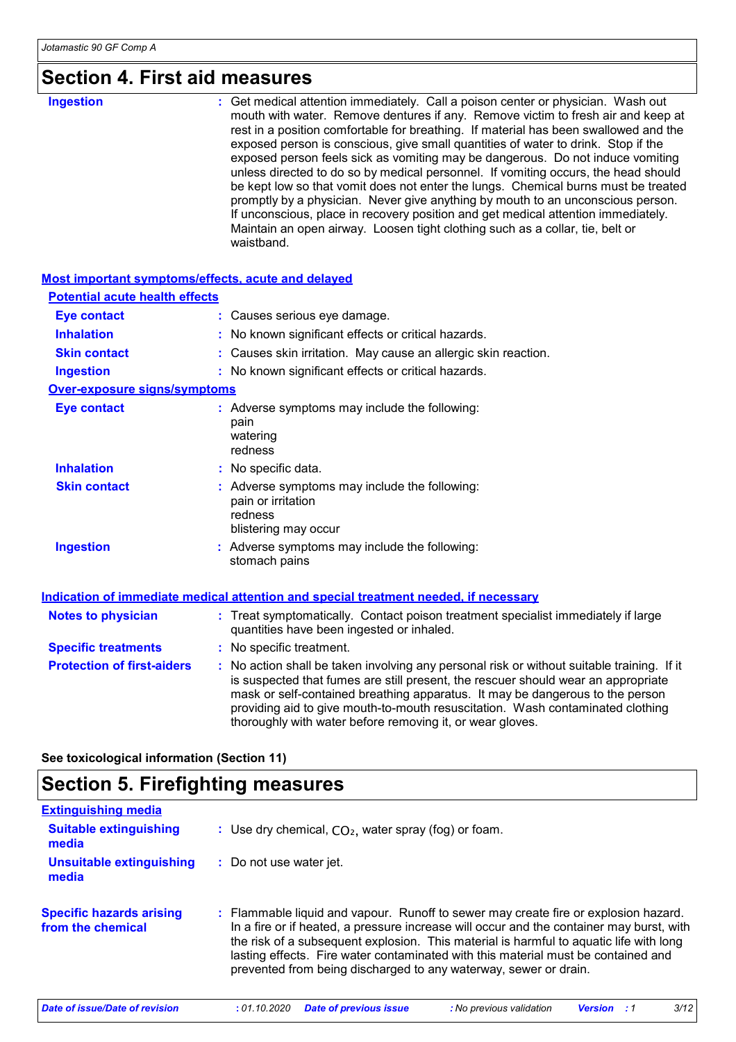# **Section 4. First aid measures**

| <b>Ingestion</b> | : Get medical attention immediately. Call a poison center or physician. Wash out<br>mouth with water. Remove dentures if any. Remove victim to fresh air and keep at<br>rest in a position comfortable for breathing. If material has been swallowed and the<br>exposed person is conscious, give small quantities of water to drink. Stop if the<br>exposed person feels sick as vomiting may be dangerous. Do not induce vomiting<br>unless directed to do so by medical personnel. If vomiting occurs, the head should<br>be kept low so that vomit does not enter the lungs. Chemical burns must be treated<br>promptly by a physician. Never give anything by mouth to an unconscious person.<br>If unconscious, place in recovery position and get medical attention immediately.<br>Maintain an open airway. Loosen tight clothing such as a collar, tie, belt or |
|------------------|--------------------------------------------------------------------------------------------------------------------------------------------------------------------------------------------------------------------------------------------------------------------------------------------------------------------------------------------------------------------------------------------------------------------------------------------------------------------------------------------------------------------------------------------------------------------------------------------------------------------------------------------------------------------------------------------------------------------------------------------------------------------------------------------------------------------------------------------------------------------------|
|                  | waistband.                                                                                                                                                                                                                                                                                                                                                                                                                                                                                                                                                                                                                                                                                                                                                                                                                                                               |

#### **Most important symptoms/effects, acute and delayed**

| <b>Potential acute health effects</b> |                                                                                                                                                                                                                                                                                                                                                                                                                 |
|---------------------------------------|-----------------------------------------------------------------------------------------------------------------------------------------------------------------------------------------------------------------------------------------------------------------------------------------------------------------------------------------------------------------------------------------------------------------|
| <b>Eye contact</b>                    | : Causes serious eye damage.                                                                                                                                                                                                                                                                                                                                                                                    |
| <b>Inhalation</b>                     | : No known significant effects or critical hazards.                                                                                                                                                                                                                                                                                                                                                             |
| <b>Skin contact</b>                   | : Causes skin irritation. May cause an allergic skin reaction.                                                                                                                                                                                                                                                                                                                                                  |
| <b>Ingestion</b>                      | : No known significant effects or critical hazards.                                                                                                                                                                                                                                                                                                                                                             |
| <b>Over-exposure signs/symptoms</b>   |                                                                                                                                                                                                                                                                                                                                                                                                                 |
| <b>Eye contact</b>                    | : Adverse symptoms may include the following:<br>pain<br>watering<br>redness                                                                                                                                                                                                                                                                                                                                    |
| <b>Inhalation</b>                     | : No specific data.                                                                                                                                                                                                                                                                                                                                                                                             |
| <b>Skin contact</b>                   | : Adverse symptoms may include the following:<br>pain or irritation<br>redness<br>blistering may occur                                                                                                                                                                                                                                                                                                          |
| <b>Ingestion</b>                      | : Adverse symptoms may include the following:<br>stomach pains                                                                                                                                                                                                                                                                                                                                                  |
|                                       | <b>Indication of immediate medical attention and special treatment needed, if necessary</b>                                                                                                                                                                                                                                                                                                                     |
| <b>Notes to physician</b>             | : Treat symptomatically. Contact poison treatment specialist immediately if large<br>quantities have been ingested or inhaled.                                                                                                                                                                                                                                                                                  |
| <b>Specific treatments</b>            | : No specific treatment.                                                                                                                                                                                                                                                                                                                                                                                        |
| <b>Protection of first-aiders</b>     | : No action shall be taken involving any personal risk or without suitable training. If it<br>is suspected that fumes are still present, the rescuer should wear an appropriate<br>mask or self-contained breathing apparatus. It may be dangerous to the person<br>providing aid to give mouth-to-mouth resuscitation. Wash contaminated clothing<br>thoroughly with water before removing it, or wear gloves. |

**See toxicological information (Section 11)**

# **Section 5. Firefighting measures**

| <b>Extinguishing media</b>                           |                                                                                                                                                                                                                                                                                                                                                                                                                                    |
|------------------------------------------------------|------------------------------------------------------------------------------------------------------------------------------------------------------------------------------------------------------------------------------------------------------------------------------------------------------------------------------------------------------------------------------------------------------------------------------------|
| <b>Suitable extinguishing</b><br>media               | : Use dry chemical, $CO2$ , water spray (fog) or foam.                                                                                                                                                                                                                                                                                                                                                                             |
| <b>Unsuitable extinguishing</b><br>media             | : Do not use water jet.                                                                                                                                                                                                                                                                                                                                                                                                            |
| <b>Specific hazards arising</b><br>from the chemical | : Flammable liquid and vapour. Runoff to sewer may create fire or explosion hazard.<br>In a fire or if heated, a pressure increase will occur and the container may burst, with<br>the risk of a subsequent explosion. This material is harmful to aquatic life with long<br>lasting effects. Fire water contaminated with this material must be contained and<br>prevented from being discharged to any waterway, sewer or drain. |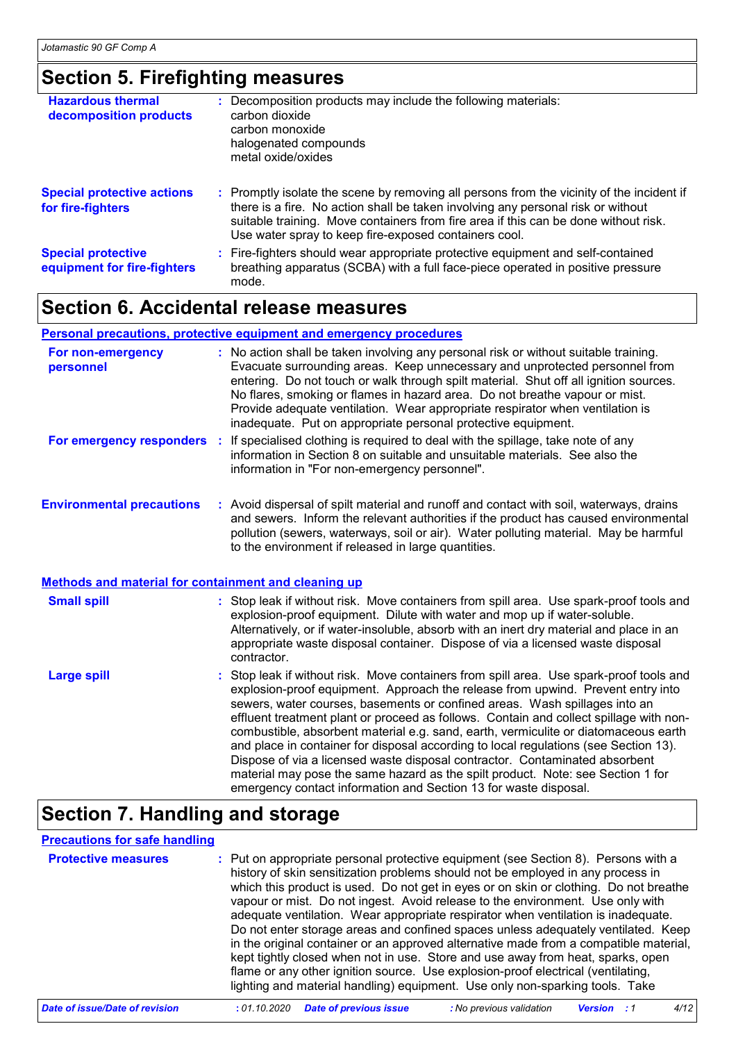### **Section 5. Firefighting measures**

| <b>Hazardous thermal</b><br>decomposition products       | : Decomposition products may include the following materials:<br>carbon dioxide<br>carbon monoxide<br>halogenated compounds<br>metal oxide/oxides                                                                                                                                                                             |
|----------------------------------------------------------|-------------------------------------------------------------------------------------------------------------------------------------------------------------------------------------------------------------------------------------------------------------------------------------------------------------------------------|
| <b>Special protective actions</b><br>for fire-fighters   | : Promptly isolate the scene by removing all persons from the vicinity of the incident if<br>there is a fire. No action shall be taken involving any personal risk or without<br>suitable training. Move containers from fire area if this can be done without risk.<br>Use water spray to keep fire-exposed containers cool. |
| <b>Special protective</b><br>equipment for fire-fighters | : Fire-fighters should wear appropriate protective equipment and self-contained<br>breathing apparatus (SCBA) with a full face-piece operated in positive pressure<br>mode.                                                                                                                                                   |

### **Section 6. Accidental release measures**

#### **Personal precautions, protective equipment and emergency procedures**

| For non-emergency<br>personnel                              | : No action shall be taken involving any personal risk or without suitable training.<br>Evacuate surrounding areas. Keep unnecessary and unprotected personnel from<br>entering. Do not touch or walk through spilt material. Shut off all ignition sources.<br>No flares, smoking or flames in hazard area. Do not breathe vapour or mist.<br>Provide adequate ventilation. Wear appropriate respirator when ventilation is<br>inadequate. Put on appropriate personal protective equipment. |
|-------------------------------------------------------------|-----------------------------------------------------------------------------------------------------------------------------------------------------------------------------------------------------------------------------------------------------------------------------------------------------------------------------------------------------------------------------------------------------------------------------------------------------------------------------------------------|
|                                                             | For emergency responders : If specialised clothing is required to deal with the spillage, take note of any<br>information in Section 8 on suitable and unsuitable materials. See also the<br>information in "For non-emergency personnel".                                                                                                                                                                                                                                                    |
| <b>Environmental precautions</b>                            | : Avoid dispersal of spilt material and runoff and contact with soil, waterways, drains<br>and sewers. Inform the relevant authorities if the product has caused environmental<br>pollution (sewers, waterways, soil or air). Water polluting material. May be harmful<br>to the environment if released in large quantities.                                                                                                                                                                 |
| <b>Methods and material for containment and cleaning up</b> |                                                                                                                                                                                                                                                                                                                                                                                                                                                                                               |
| <b>Small spill</b>                                          | : Stop leak if without risk. Move containers from spill area. Use spark-proof tools and<br>explosion-proof equipment. Dilute with water and mop up if water-soluble.<br>Alternatively, or if water-insoluble, absorb with an inert dry material and place in an<br>appropriate waste disposal container. Dispose of via a licensed waste disposal<br>contractor.                                                                                                                              |
| Large spill                                                 | : Stop leak if without risk. Move containers from spill area. Use spark-proof tools and<br>explosion-proof equipment Approach the release from unwind Prevent entry into                                                                                                                                                                                                                                                                                                                      |

#### explosion-proof equipment. Approach the release from upwind. Prevent entry into sewers, water courses, basements or confined areas. Wash spillages into an effluent treatment plant or proceed as follows. Contain and collect spillage with noncombustible, absorbent material e.g. sand, earth, vermiculite or diatomaceous earth and place in container for disposal according to local regulations (see Section 13). Dispose of via a licensed waste disposal contractor. Contaminated absorbent material may pose the same hazard as the spilt product. Note: see Section 1 for emergency contact information and Section 13 for waste disposal.

### **Section 7. Handling and storage**

#### **Precautions for safe handling**

| <b>Protective measures</b> | : Put on appropriate personal protective equipment (see Section 8). Persons with a<br>history of skin sensitization problems should not be employed in any process in<br>which this product is used. Do not get in eyes or on skin or clothing. Do not breathe<br>vapour or mist. Do not ingest. Avoid release to the environment. Use only with<br>adequate ventilation. Wear appropriate respirator when ventilation is inadequate.<br>Do not enter storage areas and confined spaces unless adequately ventilated. Keep<br>in the original container or an approved alternative made from a compatible material,<br>kept tightly closed when not in use. Store and use away from heat, sparks, open<br>flame or any other ignition source. Use explosion-proof electrical (ventilating,<br>lighting and material handling) equipment. Use only non-sparking tools. Take |
|----------------------------|----------------------------------------------------------------------------------------------------------------------------------------------------------------------------------------------------------------------------------------------------------------------------------------------------------------------------------------------------------------------------------------------------------------------------------------------------------------------------------------------------------------------------------------------------------------------------------------------------------------------------------------------------------------------------------------------------------------------------------------------------------------------------------------------------------------------------------------------------------------------------|
|----------------------------|----------------------------------------------------------------------------------------------------------------------------------------------------------------------------------------------------------------------------------------------------------------------------------------------------------------------------------------------------------------------------------------------------------------------------------------------------------------------------------------------------------------------------------------------------------------------------------------------------------------------------------------------------------------------------------------------------------------------------------------------------------------------------------------------------------------------------------------------------------------------------|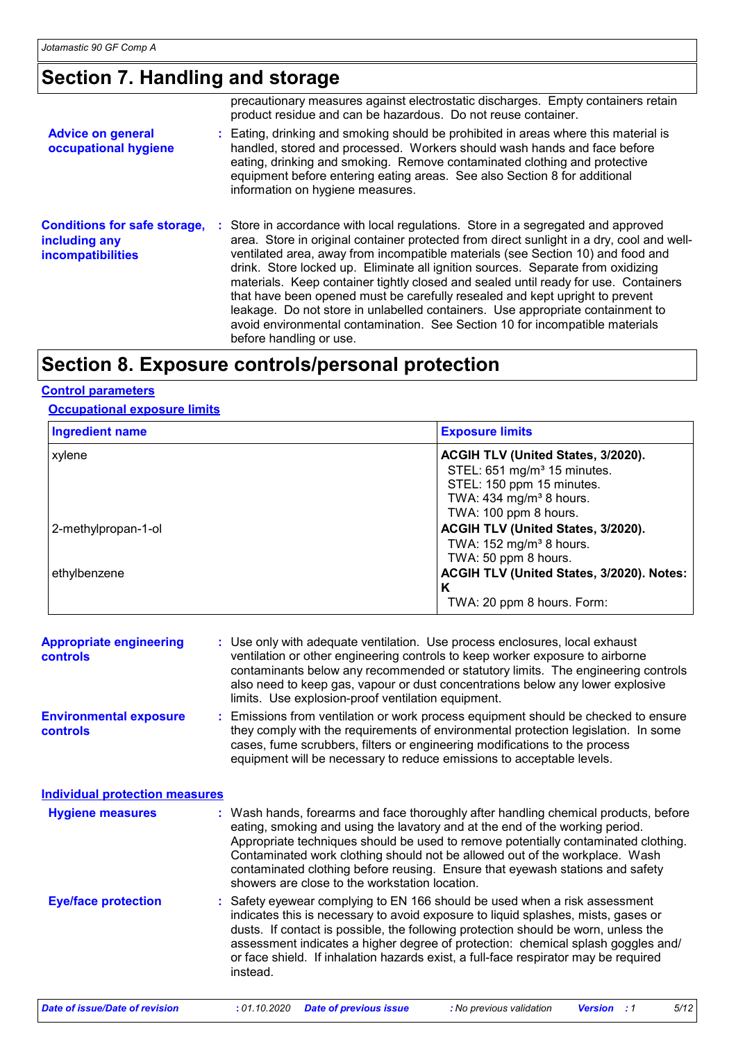### **Section 7. Handling and storage**

|                                                                                  | precautionary measures against electrostatic discharges. Empty containers retain<br>product residue and can be hazardous. Do not reuse container.                                                                                                                                                                                                                                                                                                                                                                                                                                                                                                                                                                       |
|----------------------------------------------------------------------------------|-------------------------------------------------------------------------------------------------------------------------------------------------------------------------------------------------------------------------------------------------------------------------------------------------------------------------------------------------------------------------------------------------------------------------------------------------------------------------------------------------------------------------------------------------------------------------------------------------------------------------------------------------------------------------------------------------------------------------|
| <b>Advice on general</b><br>occupational hygiene                                 | : Eating, drinking and smoking should be prohibited in areas where this material is<br>handled, stored and processed. Workers should wash hands and face before<br>eating, drinking and smoking. Remove contaminated clothing and protective<br>equipment before entering eating areas. See also Section 8 for additional<br>information on hygiene measures.                                                                                                                                                                                                                                                                                                                                                           |
| <b>Conditions for safe storage,</b><br>including any<br><b>incompatibilities</b> | : Store in accordance with local regulations. Store in a segregated and approved<br>area. Store in original container protected from direct sunlight in a dry, cool and well-<br>ventilated area, away from incompatible materials (see Section 10) and food and<br>drink. Store locked up. Eliminate all ignition sources. Separate from oxidizing<br>materials. Keep container tightly closed and sealed until ready for use. Containers<br>that have been opened must be carefully resealed and kept upright to prevent<br>leakage. Do not store in unlabelled containers. Use appropriate containment to<br>avoid environmental contamination. See Section 10 for incompatible materials<br>before handling or use. |

### **Section 8. Exposure controls/personal protection**

#### **Control parameters**

#### **Occupational exposure limits**

| <b>Ingredient name</b> | <b>Exposure limits</b>                    |  |  |
|------------------------|-------------------------------------------|--|--|
| xylene                 | ACGIH TLV (United States, 3/2020).        |  |  |
|                        | STEL: 651 mg/m <sup>3</sup> 15 minutes.   |  |  |
|                        | STEL: 150 ppm 15 minutes.                 |  |  |
|                        | TWA: $434$ mg/m <sup>3</sup> 8 hours.     |  |  |
|                        | TWA: 100 ppm 8 hours.                     |  |  |
| 2-methylpropan-1-ol    | ACGIH TLV (United States, 3/2020).        |  |  |
|                        | TWA: $152 \text{ mg/m}^3$ 8 hours.        |  |  |
|                        | TWA: 50 ppm 8 hours.                      |  |  |
| ethylbenzene           | ACGIH TLV (United States, 3/2020). Notes: |  |  |
|                        | K                                         |  |  |
|                        | TWA: 20 ppm 8 hours. Form:                |  |  |

| <b>Appropriate engineering</b><br><b>controls</b> | : Use only with adequate ventilation. Use process enclosures, local exhaust<br>ventilation or other engineering controls to keep worker exposure to airborne<br>contaminants below any recommended or statutory limits. The engineering controls<br>also need to keep gas, vapour or dust concentrations below any lower explosive<br>limits. Use explosion-proof ventilation equipment. |
|---------------------------------------------------|------------------------------------------------------------------------------------------------------------------------------------------------------------------------------------------------------------------------------------------------------------------------------------------------------------------------------------------------------------------------------------------|
| <b>Environmental exposure</b>                     | : Emissions from ventilation or work process equipment should be checked to ensure                                                                                                                                                                                                                                                                                                       |
| controls.                                         | they comply with the requirements of environmental protection legislation. In some                                                                                                                                                                                                                                                                                                       |

**controls** omply with the requirements of environmental protection legislation. In some cases, fume scrubbers, filters or engineering modifications to the process equipment will be necessary to reduce emissions to acceptable levels.

**Hygiene measures : Individual protection measures**

Wash hands, forearms and face thoroughly after handling chemical products, before eating, smoking and using the lavatory and at the end of the working period. Appropriate techniques should be used to remove potentially contaminated clothing. Contaminated work clothing should not be allowed out of the workplace. Wash contaminated clothing before reusing. Ensure that eyewash stations and safety showers are close to the workstation location.

Safety eyewear complying to EN 166 should be used when a risk assessment indicates this is necessary to avoid exposure to liquid splashes, mists, gases or dusts. If contact is possible, the following protection should be worn, unless the assessment indicates a higher degree of protection: chemical splash goggles and/ or face shield. If inhalation hazards exist, a full-face respirator may be required instead. **Eye/face protection :**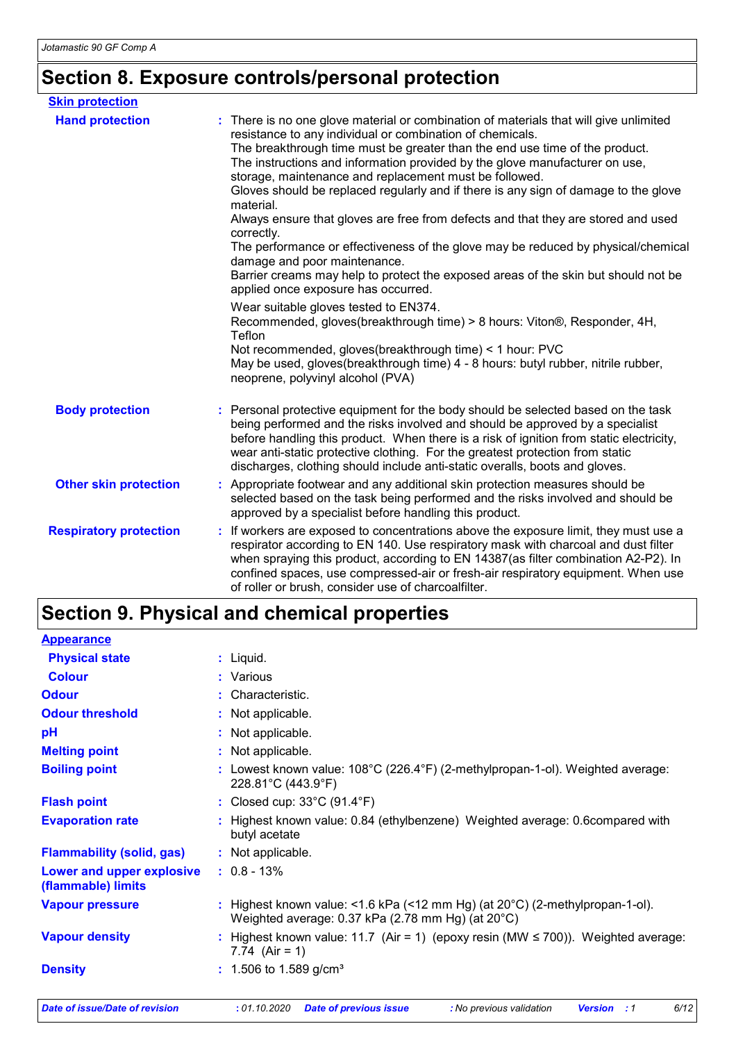# **Section 8. Exposure controls/personal protection**

| <b>Skin protection</b>        |                                                                                                                                                                                                                                                                                                                                                                                                                                                                                                                                                                                                                                                                                                                                                                                                                                                                                                                                                          |
|-------------------------------|----------------------------------------------------------------------------------------------------------------------------------------------------------------------------------------------------------------------------------------------------------------------------------------------------------------------------------------------------------------------------------------------------------------------------------------------------------------------------------------------------------------------------------------------------------------------------------------------------------------------------------------------------------------------------------------------------------------------------------------------------------------------------------------------------------------------------------------------------------------------------------------------------------------------------------------------------------|
| <b>Hand protection</b>        | : There is no one glove material or combination of materials that will give unlimited<br>resistance to any individual or combination of chemicals.<br>The breakthrough time must be greater than the end use time of the product.<br>The instructions and information provided by the glove manufacturer on use,<br>storage, maintenance and replacement must be followed.<br>Gloves should be replaced regularly and if there is any sign of damage to the glove<br>material.<br>Always ensure that gloves are free from defects and that they are stored and used<br>correctly.<br>The performance or effectiveness of the glove may be reduced by physical/chemical<br>damage and poor maintenance.<br>Barrier creams may help to protect the exposed areas of the skin but should not be<br>applied once exposure has occurred.<br>Wear suitable gloves tested to EN374.<br>Recommended, gloves(breakthrough time) > 8 hours: Viton®, Responder, 4H, |
|                               | Teflon<br>Not recommended, gloves(breakthrough time) < 1 hour: PVC<br>May be used, gloves(breakthrough time) 4 - 8 hours: butyl rubber, nitrile rubber,<br>neoprene, polyvinyl alcohol (PVA)                                                                                                                                                                                                                                                                                                                                                                                                                                                                                                                                                                                                                                                                                                                                                             |
| <b>Body protection</b>        | Personal protective equipment for the body should be selected based on the task<br>being performed and the risks involved and should be approved by a specialist<br>before handling this product. When there is a risk of ignition from static electricity,<br>wear anti-static protective clothing. For the greatest protection from static<br>discharges, clothing should include anti-static overalls, boots and gloves.                                                                                                                                                                                                                                                                                                                                                                                                                                                                                                                              |
| <b>Other skin protection</b>  | Appropriate footwear and any additional skin protection measures should be<br>selected based on the task being performed and the risks involved and should be<br>approved by a specialist before handling this product.                                                                                                                                                                                                                                                                                                                                                                                                                                                                                                                                                                                                                                                                                                                                  |
| <b>Respiratory protection</b> | If workers are exposed to concentrations above the exposure limit, they must use a<br>respirator according to EN 140. Use respiratory mask with charcoal and dust filter<br>when spraying this product, according to EN 14387(as filter combination A2-P2). In<br>confined spaces, use compressed-air or fresh-air respiratory equipment. When use<br>of roller or brush, consider use of charcoalfilter.                                                                                                                                                                                                                                                                                                                                                                                                                                                                                                                                                |

# **Section 9. Physical and chemical properties**

| <b>Appearance</b>                               |                                                                                                                                             |  |  |  |  |
|-------------------------------------------------|---------------------------------------------------------------------------------------------------------------------------------------------|--|--|--|--|
| <b>Physical state</b>                           | $:$ Liquid.                                                                                                                                 |  |  |  |  |
| <b>Colour</b>                                   | : Various                                                                                                                                   |  |  |  |  |
| <b>Odour</b>                                    | : Characteristic.                                                                                                                           |  |  |  |  |
| <b>Odour threshold</b>                          | : Not applicable.                                                                                                                           |  |  |  |  |
| pH                                              | : Not applicable.                                                                                                                           |  |  |  |  |
| <b>Melting point</b>                            | : Not applicable.                                                                                                                           |  |  |  |  |
| <b>Boiling point</b>                            | : Lowest known value: $108^{\circ}$ C (226.4°F) (2-methylpropan-1-ol). Weighted average:<br>228.81°C (443.9°F)                              |  |  |  |  |
| <b>Flash point</b>                              | : Closed cup: $33^{\circ}$ C (91.4 $^{\circ}$ F)                                                                                            |  |  |  |  |
| <b>Evaporation rate</b>                         | : Highest known value: 0.84 (ethylbenzene) Weighted average: 0.6compared with<br>butyl acetate                                              |  |  |  |  |
| <b>Flammability (solid, gas)</b>                | : Not applicable.                                                                                                                           |  |  |  |  |
| Lower and upper explosive<br>(flammable) limits | $: 0.8 - 13\%$                                                                                                                              |  |  |  |  |
| <b>Vapour pressure</b>                          | : Highest known value: <1.6 kPa (<12 mm Hg) (at $20^{\circ}$ C) (2-methylpropan-1-ol).<br>Weighted average: 0.37 kPa (2.78 mm Hg) (at 20°C) |  |  |  |  |
| <b>Vapour density</b>                           | : Highest known value: 11.7 (Air = 1) (epoxy resin (MW $\leq$ 700)). Weighted average:<br>7.74 $(Air = 1)$                                  |  |  |  |  |
| <b>Density</b>                                  | : 1.506 to 1.589 g/cm <sup>3</sup>                                                                                                          |  |  |  |  |
| <b>Date of issue/Date of revision</b>           | : 01.10.2020<br>6/12<br><b>Date of previous issue</b><br>: No previous validation<br><b>Version</b> : 1                                     |  |  |  |  |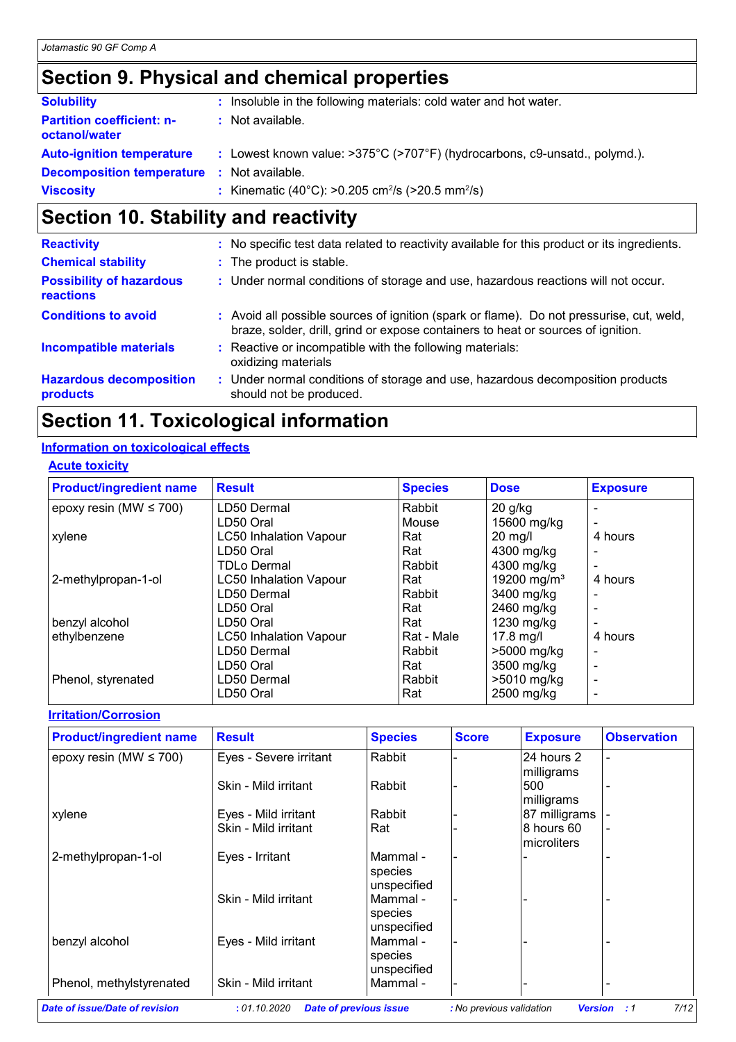# **Section 9. Physical and chemical properties**

| <b>Solubility</b>                                 | : Insoluble in the following materials: cold water and hot water.                              |
|---------------------------------------------------|------------------------------------------------------------------------------------------------|
| <b>Partition coefficient: n-</b><br>octanol/water | : Not available.                                                                               |
| <b>Auto-ignition temperature</b>                  | : Lowest known value: $>375^{\circ}C$ ( $>707^{\circ}F$ ) (hydrocarbons, c9-unsatd., polymd.). |
| <b>Decomposition temperature :</b> Not available. |                                                                                                |
| <b>Viscosity</b>                                  | : Kinematic (40°C): >0.205 cm <sup>2</sup> /s (>20.5 mm <sup>2</sup> /s)                       |

# **Section 10. Stability and reactivity**

| <b>Reactivity</b>                            | : No specific test data related to reactivity available for this product or its ingredients.                                                                                 |
|----------------------------------------------|------------------------------------------------------------------------------------------------------------------------------------------------------------------------------|
| <b>Chemical stability</b>                    | : The product is stable.                                                                                                                                                     |
| <b>Possibility of hazardous</b><br>reactions | : Under normal conditions of storage and use, hazardous reactions will not occur.                                                                                            |
| <b>Conditions to avoid</b>                   | : Avoid all possible sources of ignition (spark or flame). Do not pressurise, cut, weld,<br>braze, solder, drill, grind or expose containers to heat or sources of ignition. |
| <b>Incompatible materials</b>                | : Reactive or incompatible with the following materials:<br>oxidizing materials                                                                                              |
| <b>Hazardous decomposition</b><br>products   | : Under normal conditions of storage and use, hazardous decomposition products<br>should not be produced.                                                                    |

# **Section 11. Toxicological information**

#### **Information on toxicological effects**

| <b>Acute toxicity</b> |
|-----------------------|
|-----------------------|

| <b>Product/ingredient name</b> | <b>Result</b>                 | <b>Species</b> | <b>Dose</b>             | <b>Exposure</b> |
|--------------------------------|-------------------------------|----------------|-------------------------|-----------------|
| epoxy resin (MW $\leq$ 700)    | LD50 Dermal                   | Rabbit         | $20$ g/kg               |                 |
|                                | LD50 Oral                     | Mouse          | 15600 mg/kg             |                 |
| xylene                         | <b>LC50 Inhalation Vapour</b> | Rat            | $20$ mg/l               | 4 hours         |
|                                | LD50 Oral                     | Rat            | 4300 mg/kg              |                 |
|                                | <b>TDLo Dermal</b>            | Rabbit         | 4300 mg/kg              |                 |
| 2-methylpropan-1-ol            | <b>LC50 Inhalation Vapour</b> | Rat            | 19200 mg/m <sup>3</sup> | 4 hours         |
|                                | LD50 Dermal                   | Rabbit         | 3400 mg/kg              |                 |
|                                | LD50 Oral                     | Rat            | 2460 mg/kg              |                 |
| benzyl alcohol                 | LD50 Oral                     | Rat            | 1230 mg/kg              |                 |
| ethylbenzene                   | <b>LC50 Inhalation Vapour</b> | Rat - Male     | $17.8$ mg/l             | 4 hours         |
|                                | LD50 Dermal                   | Rabbit         | >5000 mg/kg             |                 |
|                                | LD50 Oral                     | Rat            | 3500 mg/kg              |                 |
| Phenol, styrenated             | LD50 Dermal                   | Rabbit         | >5010 mg/kg             |                 |
|                                | LD50 Oral                     | Rat            | 2500 mg/kg              |                 |

#### **Irritation/Corrosion**

| <b>Product/ingredient name</b> | <b>Result</b>          | <b>Species</b>                     | <b>Score</b> | <b>Exposure</b>           | <b>Observation</b> |
|--------------------------------|------------------------|------------------------------------|--------------|---------------------------|--------------------|
| epoxy resin (MW $\leq$ 700)    | Eyes - Severe irritant | Rabbit                             |              | 24 hours 2<br>milligrams  |                    |
|                                | Skin - Mild irritant   | Rabbit                             |              | 500<br>milligrams         |                    |
| xylene                         | Eyes - Mild irritant   | Rabbit                             |              | 87 milligrams             |                    |
|                                | Skin - Mild irritant   | Rat                                |              | 8 hours 60<br>microliters |                    |
| 2-methylpropan-1-ol            | Eyes - Irritant        | Mammal -<br>species<br>unspecified |              |                           |                    |
|                                | Skin - Mild irritant   | Mammal -<br>species<br>unspecified |              |                           |                    |
| benzyl alcohol                 | Eyes - Mild irritant   | Mammal -<br>species<br>unspecified |              |                           |                    |
| Phenol, methylstyrenated       | Skin - Mild irritant   | Mammal -                           |              |                           |                    |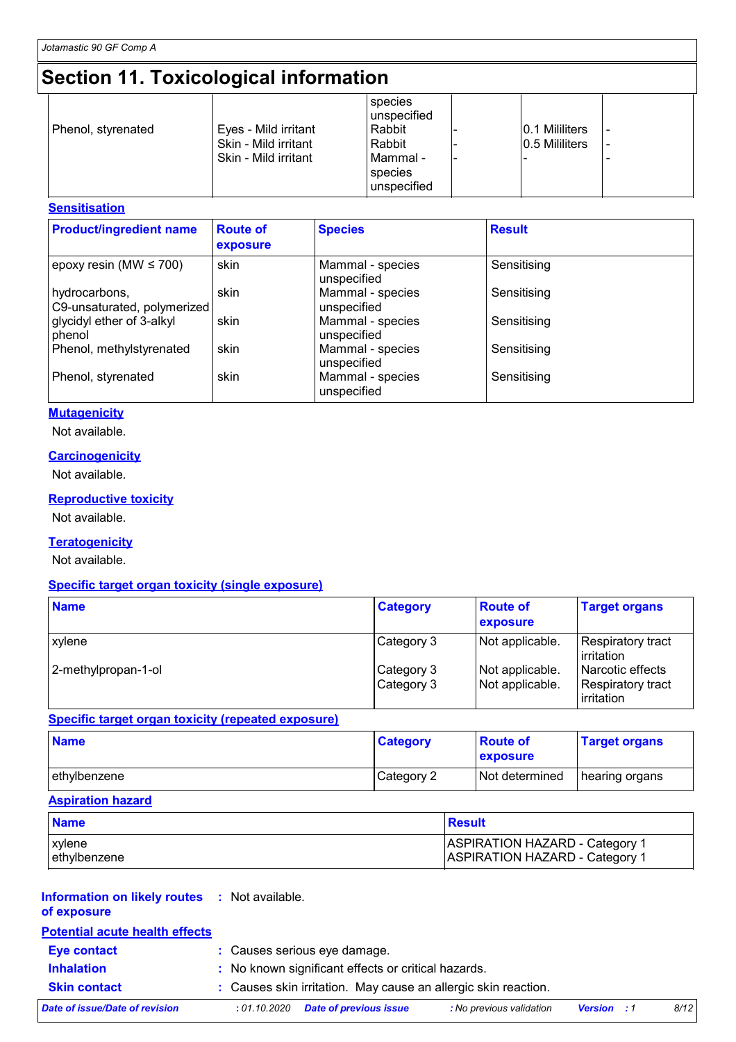# **Section 11. Toxicological information**

| Eyes - Mild irritant<br>Phenol, styrenated<br>Skin - Mild irritant<br>Skin - Mild irritant | species<br>unspecified<br>Rabbit<br>Rabbit<br>l Mammal -<br>species<br>unspecified | 0.1 Mililiters<br>0.5 Mililiters |  |
|--------------------------------------------------------------------------------------------|------------------------------------------------------------------------------------|----------------------------------|--|
|--------------------------------------------------------------------------------------------|------------------------------------------------------------------------------------|----------------------------------|--|

#### **Sensitisation**

| <b>Product/ingredient name</b>               | <b>Route of</b><br>exposure | <b>Species</b>                  | <b>Result</b> |
|----------------------------------------------|-----------------------------|---------------------------------|---------------|
| epoxy resin (MW $\leq$ 700)                  | skin                        | Mammal - species<br>unspecified | Sensitising   |
| hydrocarbons,<br>C9-unsaturated, polymerized | skin                        | Mammal - species<br>unspecified | Sensitising   |
| glycidyl ether of 3-alkyl<br>phenol          | skin                        | Mammal - species<br>unspecified | Sensitising   |
| Phenol, methylstyrenated                     | skin                        | Mammal - species<br>unspecified | Sensitising   |
| Phenol, styrenated                           | skin                        | Mammal - species<br>unspecified | Sensitising   |

#### **Mutagenicity**

Not available.

#### **Carcinogenicity**

Not available.

#### **Reproductive toxicity**

Not available.

#### **Teratogenicity**

Not available.

#### **Specific target organ toxicity (single exposure)**

| <b>Name</b>         | <b>Category</b>          | <b>Route of</b><br>exposure        | <b>Target organs</b>                                |
|---------------------|--------------------------|------------------------------------|-----------------------------------------------------|
| xylene              | Category 3               | Not applicable.                    | Respiratory tract<br>irritation                     |
| 2-methylpropan-1-ol | Category 3<br>Category 3 | Not applicable.<br>Not applicable. | Narcotic effects<br>Respiratory tract<br>irritation |

#### **Specific target organ toxicity (repeated exposure)**

| <b>Name</b>  | <b>Category</b> | <b>Route of</b><br><b>exposure</b> | <b>Target organs</b> |
|--------------|-----------------|------------------------------------|----------------------|
| ethylbenzene | Category 2      | Not determined                     | I hearing organs     |

#### **Aspiration hazard**

| <b>Name</b>   | <b>Result</b>                         |
|---------------|---------------------------------------|
| <b>xylene</b> | <b>ASPIRATION HAZARD - Category 1</b> |
| lethylbenzene | <b>ASPIRATION HAZARD - Category 1</b> |

#### **Information on likely routes :** Not available. **of exposure**

#### **Potential acute health effects**

| Eye contact                    | : Causes serious eye damage.                                   |                          |                    |      |
|--------------------------------|----------------------------------------------------------------|--------------------------|--------------------|------|
| <b>Inhalation</b>              | : No known significant effects or critical hazards.            |                          |                    |      |
| <b>Skin contact</b>            | : Causes skin irritation. May cause an allergic skin reaction. |                          |                    |      |
| Date of issue/Date of revision | <b>Date of previous issue</b><br>: 01.10.2020                  | : No previous validation | <b>Version</b> : 1 | 8/12 |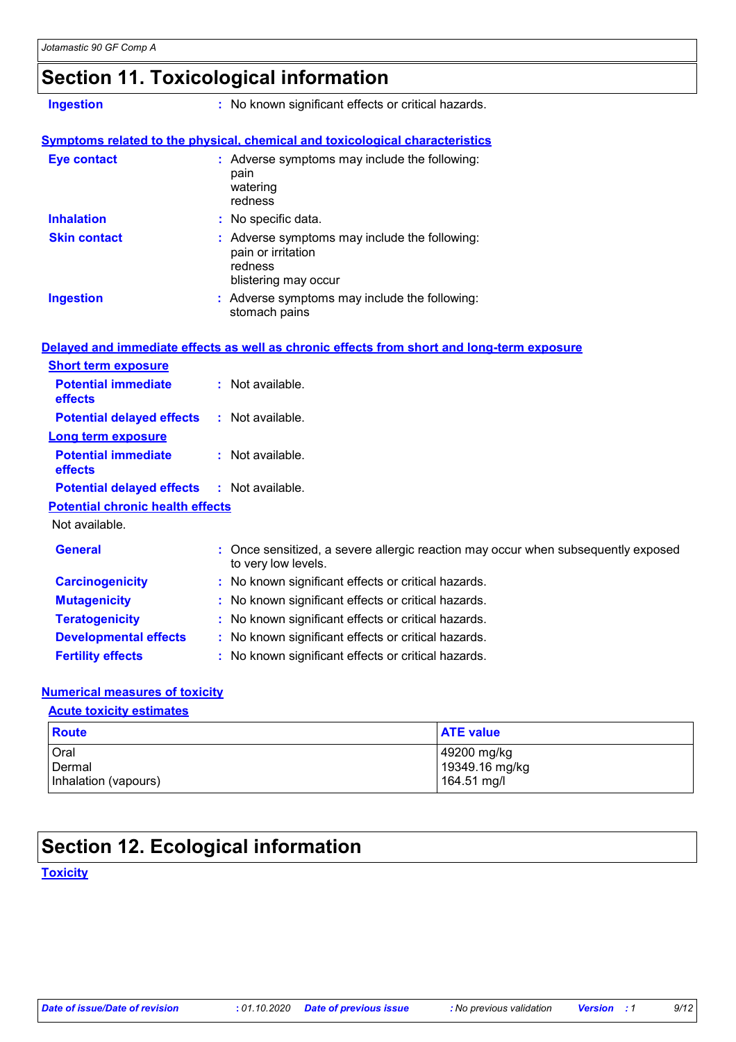### **Section 11. Toxicological information**

**Ingestion :** No known significant effects or critical hazards.

#### **Symptoms related to the physical, chemical and toxicological characteristics**

| <b>Eye contact</b>  | : Adverse symptoms may include the following:<br>pain<br>watering<br>redness                           |
|---------------------|--------------------------------------------------------------------------------------------------------|
| <b>Inhalation</b>   | : No specific data.                                                                                    |
| <b>Skin contact</b> | : Adverse symptoms may include the following:<br>pain or irritation<br>redness<br>blistering may occur |
| <b>Ingestion</b>    | : Adverse symptoms may include the following:<br>stomach pains                                         |

#### Not available. Once sensitized, a severe allergic reaction may occur when subsequently exposed to very low levels. **General : Carcinogenicity :** No known significant effects or critical hazards. **Mutagenicity :** No known significant effects or critical hazards. **Teratogenicity :** No known significant effects or critical hazards. **Developmental effects :** No known significant effects or critical hazards. **Fertility effects :** No known significant effects or critical hazards. **Potential chronic health effects Delayed and immediate effects as well as chronic effects from short and long-term exposure Potential immediate effects :** Not available. **Short term exposure Potential delayed effects :** Not available. **Potential immediate effects :** Not available. **Long term exposure Potential delayed effects :** Not available.

#### **Numerical measures of toxicity**

#### **Acute toxicity estimates**

| <b>Route</b>         | <b>ATE value</b> |
|----------------------|------------------|
| Oral                 | 149200 mg/kg     |
| Dermal               | 19349.16 mg/kg   |
| Inhalation (vapours) | 164.51 mg/l      |

### **Section 12. Ecological information**

**Toxicity**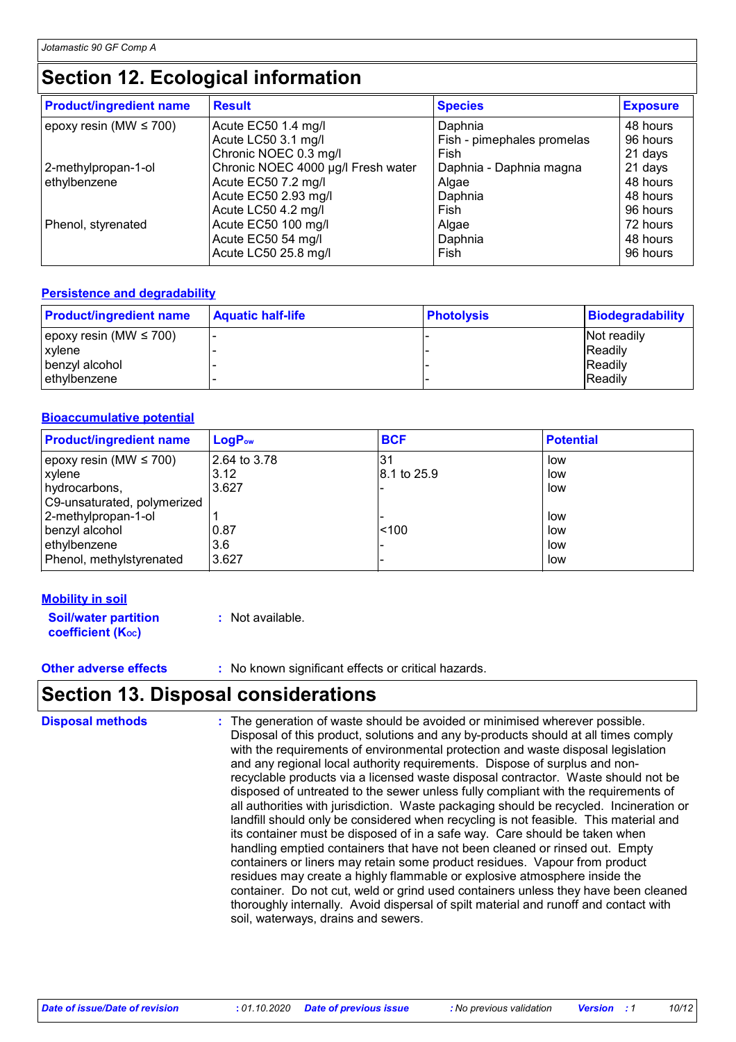# **Section 12. Ecological information**

| <b>Result</b>                      | <b>Species</b>             | <b>Exposure</b> |
|------------------------------------|----------------------------|-----------------|
| Acute EC50 1.4 mg/l                | Daphnia                    | 48 hours        |
| Acute LC50 3.1 mg/l                | Fish - pimephales promelas | 96 hours        |
| Chronic NOEC 0.3 mg/l              | Fish                       | 21 days         |
| Chronic NOEC 4000 µg/l Fresh water | Daphnia - Daphnia magna    | 21 days         |
| Acute EC50 7.2 mg/l                | Algae                      | 48 hours        |
| Acute EC50 2.93 mg/l               | Daphnia                    | 48 hours        |
| Acute LC50 4.2 mg/l                | Fish                       | 96 hours        |
| Acute EC50 100 mg/l                | Algae                      | 72 hours        |
| Acute EC50 54 mg/l                 | Daphnia                    | 48 hours        |
| Acute LC50 25.8 mg/l               | Fish                       | 96 hours        |
|                                    |                            |                 |

#### **Persistence and degradability**

| <b>Product/ingredient name</b> | <b>Aquatic half-life</b> | <b>Photolysis</b> | <b>Biodegradability</b> |
|--------------------------------|--------------------------|-------------------|-------------------------|
| epoxy resin (MW $\leq$ 700)    |                          |                   | Not readily             |
| xvlene                         |                          |                   | <b>IReadily</b>         |
| benzyl alcohol                 |                          |                   | <b>Readily</b>          |
| ethylbenzene                   |                          |                   | <b>IReadily</b>         |

#### **Bioaccumulative potential**

| <b>Product/ingredient name</b> | $LogP_{ow}$  | <b>BCF</b>  | <b>Potential</b> |
|--------------------------------|--------------|-------------|------------------|
| epoxy resin (MW $\leq$ 700)    | 2.64 to 3.78 | 3'          | low              |
| xylene                         | 3.12         | 8.1 to 25.9 | low              |
| hydrocarbons,                  | 3.627        |             | low              |
| C9-unsaturated, polymerized    |              |             |                  |
| 2-methylpropan-1-ol            |              |             | low              |
| benzyl alcohol                 | 0.87         | ~100        | low              |
| ethylbenzene                   | 3.6          |             | low              |
| Phenol, methylstyrenated       | 3.627        |             | low              |

#### **Mobility in soil**

**Soil/water partition coefficient (Koc)** 

**:** Not available.

**Other adverse effects** : No known significant effects or critical hazards.

### **Section 13. Disposal considerations**

| <b>Disposal methods</b> | : The generation of waste should be avoided or minimised wherever possible.<br>Disposal of this product, solutions and any by-products should at all times comply<br>with the requirements of environmental protection and waste disposal legislation<br>and any regional local authority requirements. Dispose of surplus and non-<br>recyclable products via a licensed waste disposal contractor. Waste should not be<br>disposed of untreated to the sewer unless fully compliant with the requirements of<br>all authorities with jurisdiction. Waste packaging should be recycled. Incineration or<br>landfill should only be considered when recycling is not feasible. This material and<br>its container must be disposed of in a safe way. Care should be taken when<br>handling emptied containers that have not been cleaned or rinsed out. Empty<br>containers or liners may retain some product residues. Vapour from product<br>residues may create a highly flammable or explosive atmosphere inside the<br>container. Do not cut, weld or grind used containers unless they have been cleaned<br>thoroughly internally. Avoid dispersal of spilt material and runoff and contact with |
|-------------------------|--------------------------------------------------------------------------------------------------------------------------------------------------------------------------------------------------------------------------------------------------------------------------------------------------------------------------------------------------------------------------------------------------------------------------------------------------------------------------------------------------------------------------------------------------------------------------------------------------------------------------------------------------------------------------------------------------------------------------------------------------------------------------------------------------------------------------------------------------------------------------------------------------------------------------------------------------------------------------------------------------------------------------------------------------------------------------------------------------------------------------------------------------------------------------------------------------------|
|                         | soil, waterways, drains and sewers.                                                                                                                                                                                                                                                                                                                                                                                                                                                                                                                                                                                                                                                                                                                                                                                                                                                                                                                                                                                                                                                                                                                                                                    |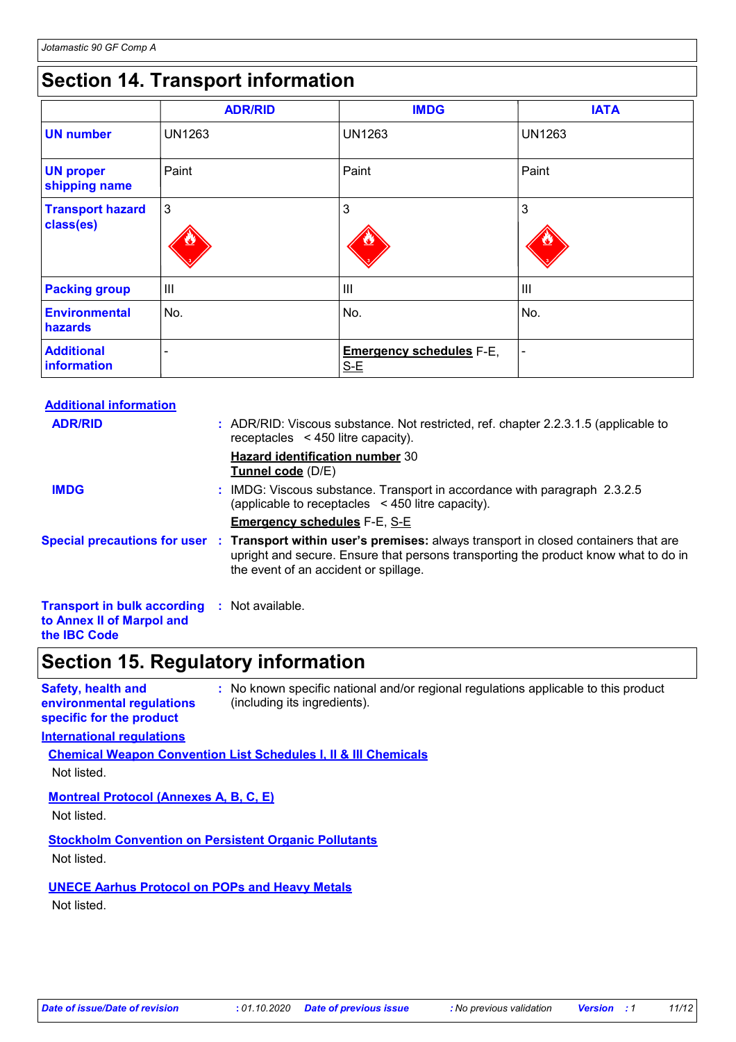# **Section 14. Transport information**

|                                      | <b>ADR/RID</b> | <b>IMDG</b>                              | <b>IATA</b>    |
|--------------------------------------|----------------|------------------------------------------|----------------|
| <b>UN number</b>                     | <b>UN1263</b>  | <b>UN1263</b>                            | <b>UN1263</b>  |
| <b>UN proper</b><br>shipping name    | Paint          | Paint                                    | Paint          |
| <b>Transport hazard</b><br>class(es) | $\mathbf{3}$   | 3                                        | 3              |
| <b>Packing group</b>                 | Ш              | III                                      | $\mathbf{III}$ |
| <b>Environmental</b><br>hazards      | No.            | No.                                      | No.            |
| <b>Additional</b><br>information     | -              | <b>Emergency schedules F-E,</b><br>$S-E$ | $\blacksquare$ |

| <b>Additional information</b>                                                                           |                                                                                                                                                                                                                                                 |
|---------------------------------------------------------------------------------------------------------|-------------------------------------------------------------------------------------------------------------------------------------------------------------------------------------------------------------------------------------------------|
| <b>ADR/RID</b>                                                                                          | : ADR/RID: Viscous substance. Not restricted, ref. chapter 2.2.3.1.5 (applicable to<br>receptacles $\leq$ 450 litre capacity).                                                                                                                  |
|                                                                                                         | <b>Hazard identification number 30</b><br><b>Tunnel code</b> (D/E)                                                                                                                                                                              |
| <b>IMDG</b>                                                                                             | : IMDG: Viscous substance. Transport in accordance with paragraph 2.3.2.5<br>(applicable to receptacles $\leq$ 450 litre capacity).                                                                                                             |
|                                                                                                         | <b>Emergency schedules F-E, S-E</b>                                                                                                                                                                                                             |
|                                                                                                         | Special precautions for user : Transport within user's premises: always transport in closed containers that are<br>upright and secure. Ensure that persons transporting the product know what to do in<br>the event of an accident or spillage. |
| <b>Transport in bulk according : Not available.</b><br>to Annex II of Marpol and<br>the <b>IBC</b> Code |                                                                                                                                                                                                                                                 |

### **Section 15. Regulatory information**

**Safety, health and environmental regulations specific for the product**

**:** No known specific national and/or regional regulations applicable to this product (including its ingredients).

#### **International regulations**

**Chemical Weapon Convention List Schedules I, II & III Chemicals** Not listed.

#### **Montreal Protocol (Annexes A, B, C, E)**

Not listed.

#### **Stockholm Convention on Persistent Organic Pollutants**

Not listed.

### **UNECE Aarhus Protocol on POPs and Heavy Metals**

Not listed.